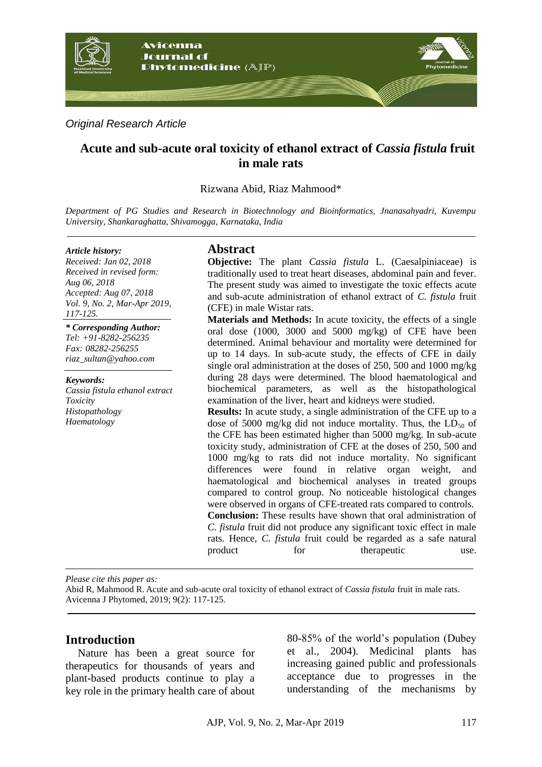

*Original Research Article*

# **Acute and sub-acute oral toxicity of ethanol extract of** *Cassia fistula* **fruit in male rats**

Rizwana Abid, Riaz Mahmood\*

*Department of PG Studies and Research in Biotechnology and Bioinformatics, Jnanasahyadri, Kuvempu University, Shankaraghatta, Shivamogga, Karnataka, India*

#### *Article history:*

*Received: Jan 02, 2018 Received in revised form: Aug 06, 2018 Accepted: Aug 07, 2018 Vol. 9, No. 2, Mar-Apr 2019, 117-125.*

*\* Corresponding Author: Tel: +91-8282-256235 Fax: 08282-256255 riaz\_sultan@yahoo.com*

*Keywords: Cassia fistula ethanol extract Toxicity Histopathology Haematology*

# **Abstract**

**Objective:** The plant *Cassia fistula* L. (Caesalpiniaceae) is traditionally used to treat heart diseases, abdominal pain and fever. The present study was aimed to investigate the toxic effects acute and sub-acute administration of ethanol extract of *C. fistula* fruit (CFE) in male Wistar rats.

**Materials and Methods:** In acute toxicity, the effects of a single oral dose (1000, 3000 and 5000 mg/kg) of CFE have been determined. Animal behaviour and mortality were determined for up to 14 days. In sub-acute study, the effects of CFE in daily single oral administration at the doses of 250, 500 and 1000 mg/kg during 28 days were determined. The blood haematological and biochemical parameters, as well as the histopathological examination of the liver, heart and kidneys were studied.

**Results:** In acute study, a single administration of the CFE up to a dose of 5000 mg/kg did not induce mortality. Thus, the  $LD_{50}$  of the CFE has been estimated higher than 5000 mg/kg. In sub-acute toxicity study, administration of CFE at the doses of 250, 500 and 1000 mg/kg to rats did not induce mortality. No significant differences were found in relative organ weight, and haematological and biochemical analyses in treated groups compared to control group. No noticeable histological changes were observed in organs of CFE-treated rats compared to controls. **Conclusion:** These results have shown that oral administration of

*C. fistula* fruit did not produce any significant toxic effect in male rats. Hence, *C. fistula* fruit could be regarded as a safe natural product for the rapeutic use.

*Please cite this paper as:* 

Abid R, Mahmood R. Acute and sub-acute oral toxicity of ethanol extract of *Cassia fistula* fruit in male rats. Avicenna J Phytomed, 2019; 9(2): 117-125.

## **Introduction**

Nature has been a great source for therapeutics for thousands of years and plant-based products continue to play a key role in the primary health care of about 80-85% of the world's population (Dubey et al., 2004). Medicinal plants has increasing gained public and professionals acceptance due to progresses in the understanding of the mechanisms by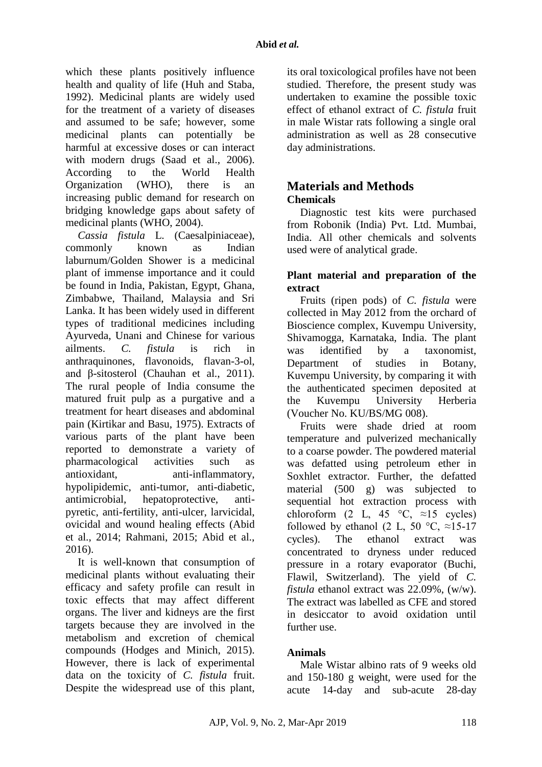which these plants positively influence health and quality of life (Huh and Staba, 1992). Medicinal plants are widely used for the treatment of a variety of diseases and assumed to be safe; however, some medicinal plants can potentially be harmful at excessive doses or can interact with modern drugs (Saad et al., 2006). According to the World Health Organization (WHO), there is an increasing public demand for research on bridging knowledge gaps about safety of medicinal plants (WHO, 2004).

*Cassia fistula* L. (Caesalpiniaceae), commonly known as Indian laburnum/Golden Shower is a medicinal plant of immense importance and it could be found in India, Pakistan, Egypt, Ghana, Zimbabwe, Thailand, Malaysia and Sri Lanka. It has been widely used in different types of traditional medicines including Ayurveda, Unani and Chinese for various ailments. *C. fistula* is rich in anthraquinones, flavonoids, flavan-3-ol, and β-sitosterol (Chauhan et al., 2011). The rural people of India consume the matured fruit pulp as a purgative and a treatment for heart diseases and abdominal pain (Kirtikar and Basu, 1975). Extracts of various parts of the plant have been reported to demonstrate a variety of pharmacological activities such as antioxidant, anti-inflammatory, hypolipidemic, anti-tumor, anti-diabetic, antimicrobial, hepatoprotective, antipyretic, anti-fertility, anti-ulcer, larvicidal, ovicidal and wound healing effects (Abid et al., 2014; Rahmani, 2015; Abid et al., 2016).

It is well-known that consumption of medicinal plants without evaluating their efficacy and safety profile can result in toxic effects that may affect different organs. The liver and kidneys are the first targets because they are involved in the metabolism and excretion of chemical compounds (Hodges and Minich, 2015). However, there is lack of experimental data on the toxicity of *C. fistula* fruit. Despite the widespread use of this plant, its oral toxicological profiles have not been studied. Therefore, the present study was undertaken to examine the possible toxic effect of ethanol extract of *C. fistula* fruit in male Wistar rats following a single oral administration as well as 28 consecutive day administrations.

## **Materials and Methods Chemicals**

Diagnostic test kits were purchased from Robonik (India) Pvt. Ltd. Mumbai, India. All other chemicals and solvents used were of analytical grade.

# **Plant material and preparation of the extract**

Fruits (ripen pods) of *C. fistula* were collected in May 2012 from the orchard of Bioscience complex, Kuvempu University, Shivamogga, Karnataka, India. The plant was identified by a taxonomist, Department of studies in Botany, Kuvempu University, by comparing it with the authenticated specimen deposited at the Kuvempu University Herberia (Voucher No. KU/BS/MG 008).

Fruits were shade dried at room temperature and pulverized mechanically to a coarse powder. The powdered material was defatted using petroleum ether in Soxhlet extractor. Further, the defatted material (500 g) was subjected to sequential hot extraction process with chloroform (2 L, 45  $\degree$ C, ≈15 cycles) followed by ethanol (2 L, 50 °C,  $\approx$ 15-17 cycles). The ethanol extract was concentrated to dryness under reduced pressure in a rotary evaporator (Buchi, Flawil, Switzerland). The yield of *C. fistula* ethanol extract was 22.09%, (w/w). The extract was labelled as CFE and stored in desiccator to avoid oxidation until further use.

# **Animals**

Male Wistar albino rats of 9 weeks old and 150-180 g weight, were used for the acute 14-day and sub-acute 28-day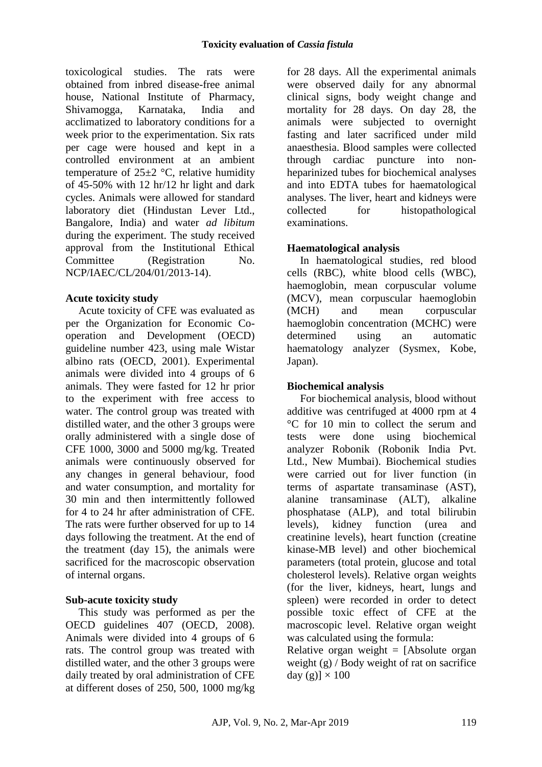toxicological studies. The rats were obtained from inbred disease-free animal house, National Institute of Pharmacy, Shivamogga, Karnataka, India and acclimatized to laboratory conditions for a week prior to the experimentation. Six rats per cage were housed and kept in a controlled environment at an ambient temperature of  $25\pm2$  °C, relative humidity of 45-50% with 12 hr/12 hr light and dark cycles. Animals were allowed for standard laboratory diet (Hindustan Lever Ltd., Bangalore, India) and water *ad libitum* during the experiment. The study received approval from the Institutional Ethical Committee (Registration No. NCP/IAEC/CL/204/01/2013-14).

# **Acute toxicity study**

Acute toxicity of CFE was evaluated as per the Organization for Economic Cooperation and Development (OECD) guideline number 423, using male Wistar albino rats (OECD, 2001). Experimental animals were divided into 4 groups of 6 animals. They were fasted for 12 hr prior to the experiment with free access to water. The control group was treated with distilled water, and the other 3 groups were orally administered with a single dose of CFE 1000, 3000 and 5000 mg/kg. Treated animals were continuously observed for any changes in general behaviour, food and water consumption, and mortality for 30 min and then intermittently followed for 4 to 24 hr after administration of CFE. The rats were further observed for up to 14 days following the treatment. At the end of the treatment (day 15), the animals were sacrificed for the macroscopic observation of internal organs.

# **Sub-acute toxicity study**

This study was performed as per the OECD guidelines 407 (OECD, 2008). Animals were divided into 4 groups of 6 rats. The control group was treated with distilled water, and the other 3 groups were daily treated by oral administration of CFE at different doses of 250, 500, 1000 mg/kg for 28 days. All the experimental animals were observed daily for any abnormal clinical signs, body weight change and mortality for 28 days. On day 28, the animals were subjected to overnight fasting and later sacrificed under mild anaesthesia. Blood samples were collected through cardiac puncture into nonheparinized tubes for biochemical analyses and into EDTA tubes for haematological analyses. The liver, heart and kidneys were collected for histopathological examinations.

# **Haematological analysis**

In haematological studies, red blood cells (RBC), white blood cells (WBC), haemoglobin, mean corpuscular volume (MCV), mean corpuscular haemoglobin (MCH) and mean corpuscular haemoglobin concentration (MCHC) were determined using an automatic haematology analyzer (Sysmex, Kobe, Japan).

# **Biochemical analysis**

For biochemical analysis, blood without additive was centrifuged at 4000 rpm at 4 °C for 10 min to collect the serum and tests were done using biochemical analyzer Robonik (Robonik India Pvt. Ltd., New Mumbai). Biochemical studies were carried out for liver function (in terms of aspartate transaminase (AST), alanine transaminase (ALT), alkaline phosphatase (ALP), and total bilirubin levels), kidney function (urea and creatinine levels), heart function (creatine kinase-MB level) and other biochemical parameters (total protein, glucose and total cholesterol levels). Relative organ weights (for the liver, kidneys, heart, lungs and spleen) were recorded in order to detect possible toxic effect of CFE at the macroscopic level. Relative organ weight was calculated using the formula:

Relative organ weight  $=$  [Absolute organ weight (g) / Body weight of rat on sacrifice day  $(g)$ ]  $\times$  100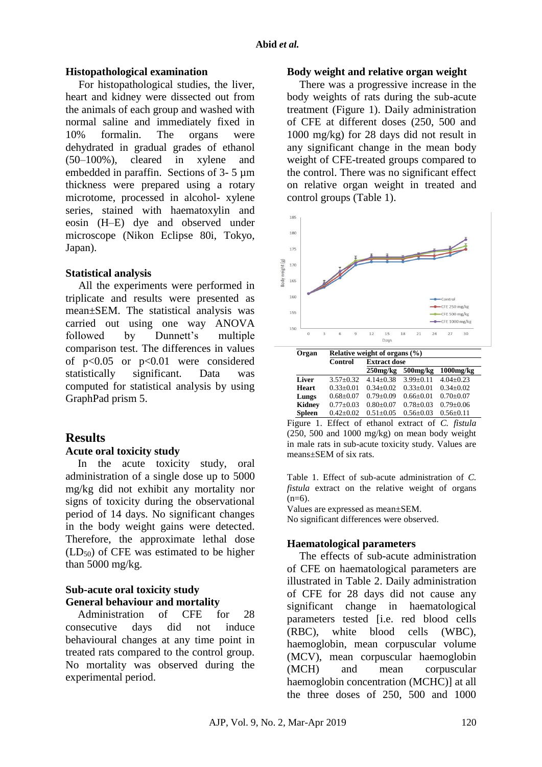## **Histopathological examination**

For histopathological studies, the liver, heart and kidney were dissected out from the animals of each group and washed with normal saline and immediately fixed in 10% formalin. The organs were dehydrated in gradual grades of ethanol (50–100%), cleared in xylene and embedded in paraffin. Sections of 3- 5 µm thickness were prepared using a rotary microtome, processed in alcohol- xylene series, stained with haematoxylin and eosin (H–E) dye and observed under microscope (Nikon Eclipse 80i, Tokyo, Japan).

## **Statistical analysis**

All the experiments were performed in triplicate and results were presented as mean±SEM. The statistical analysis was carried out using one way ANOVA followed by Dunnett's multiple comparison test. The differences in values of p<0.05 or p<0.01 were considered statistically significant. Data was computed for statistical analysis by using GraphPad prism 5.

# **Results**

## **Acute oral toxicity study**

In the acute toxicity study, oral administration of a single dose up to 5000 mg/kg did not exhibit any mortality nor signs of toxicity during the observational period of 14 days. No significant changes in the body weight gains were detected. Therefore, the approximate lethal dose  $(LD_{50})$  of CFE was estimated to be higher than 5000 mg/kg.

# **Sub-acute oral toxicity study General behaviour and mortality**

Administration of CFE for 28 consecutive days did not induce behavioural changes at any time point in treated rats compared to the control group. No mortality was observed during the experimental period.

### **Body weight and relative organ weight**

There was a progressive increase in the body weights of rats during the sub-acute treatment (Figure 1). Daily administration of CFE at different doses (250, 500 and 1000 mg/kg) for 28 days did not result in any significant change in the mean body weight of CFE-treated groups compared to the control. There was no significant effect on relative organ weight in treated and control groups (Table 1).



Figure 1. Effect of ethanol extract of *C. fistula* (250, 500 and 1000 mg/kg) on mean body weight in male rats in sub-acute toxicity study. Values are means±SEM of six rats.

Table 1. Effect of sub-acute administration of *C. fistula* extract on the relative weight of organs  $(n=6)$ .

Values are expressed as mean±SEM. No significant differences were observed.

# **Haematological parameters**

The effects of sub-acute administration of CFE on haematological parameters are illustrated in Table 2. Daily administration of CFE for 28 days did not cause any significant change in haematological parameters tested [i.e. red blood cells (RBC), white blood cells (WBC), haemoglobin, mean corpuscular volume (MCV), mean corpuscular haemoglobin (MCH) and mean corpuscular haemoglobin concentration (MCHC)] at all the three doses of 250, 500 and 1000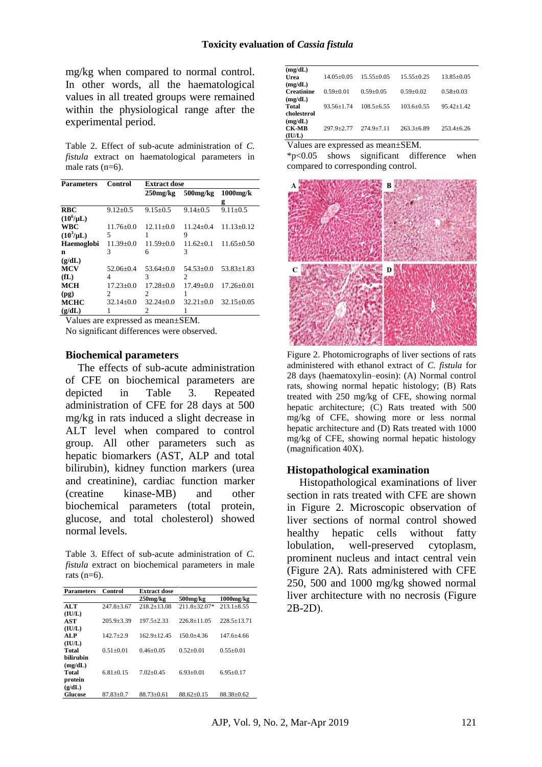mg/kg when compared to normal control. In other words, all the haematological values in all treated groups were remained within the physiological range after the experimental period.

Table 2. Effect of sub-acute administration of *C. fistula* extract on haematological parameters in male rats (n=6).

| <b>Parameters</b> | Control         | <b>Extract dose</b> |                |                  |  |
|-------------------|-----------------|---------------------|----------------|------------------|--|
|                   |                 | $250$ mg/ $kg$      | $500$ mg/ $kg$ | $1000$ mg/ $k$   |  |
|                   |                 |                     |                | g                |  |
| <b>RBC</b>        | $9.12 + 0.5$    | $9.15 + 0.5$        | $9.14 \pm 0.5$ | $9.11 + 0.5$     |  |
| $(10^6/\mu L)$    |                 |                     |                |                  |  |
| <b>WBC</b>        | $11.76 + 0.0$   | $12.11+0.0$         | $11.24 + 0.4$  | $11.13 \pm 0.12$ |  |
| $(10^3/\mu L)$    | 5               |                     | 9              |                  |  |
| Haemoglobi        | $11.39 \pm 0.0$ | $11.59 \pm 0.0$     | $11.62+0.1$    | $11.65 \pm 0.50$ |  |
| n                 | 3               | 6                   | 3              |                  |  |
| (g/dL)            |                 |                     |                |                  |  |
| <b>MCV</b>        | $52.06 \pm 0.4$ | $53.64 + 0.0$       | $54.53+0.0$    | $53.83 \pm 1.83$ |  |
| f(L)              | 4               | 3                   | 2              |                  |  |
| <b>MCH</b>        | $17.23 \pm 0.0$ | $17.28 + 0.0$       | $17.49 + 0.0$  | $17.26 + 0.01$   |  |
| (pg)              | 2               | 2                   | 1              |                  |  |
| <b>MCHC</b>       | $32.14 + 0.0$   | $32.24 + 0.0$       | $32.21 + 0.0$  | $32.15 \pm 0.05$ |  |
| (g/dL)            |                 | 2                   |                |                  |  |

Values are expressed as mean±SEM.

No significant differences were observed.

#### **Biochemical parameters**

The effects of sub-acute administration of CFE on biochemical parameters are depicted in Table 3. Repeated administration of CFE for 28 days at 500 mg/kg in rats induced a slight decrease in ALT level when compared to control group. All other parameters such as hepatic biomarkers (AST, ALP and total bilirubin), kidney function markers (urea and creatinine), cardiac function marker (creatine kinase-MB) and other biochemical parameters (total protein, glucose, and total cholesterol) showed normal levels.

Table 3. Effect of sub-acute administration of *C. fistula* extract on biochemical parameters in male rats  $(n=6)$ .

| <b>Parameters</b> | Control          | <b>Extract dose</b> |                  |                 |
|-------------------|------------------|---------------------|------------------|-----------------|
|                   |                  | $250$ mg/ $kg$      | 500mg/kg         | 1000mg/kg       |
| ALT               | $247.8 \pm 3.67$ | $218.2 + 13.08$     | $211.8 + 32.07*$ | $213.1 + 8.55$  |
| (IU/L)            |                  |                     |                  |                 |
| AST               | $205.9 + 3.39$   | $197.5 + 2.33$      | $226.8 + 11.05$  | $228.5 + 13.71$ |
| (IU/L)            |                  |                     |                  |                 |
| <b>ALP</b>        | $142.7+2.9$      | $162.9 + 12.45$     | $150.0 + 4.36$   | $147.6 + 4.66$  |
| (IU/L)            |                  |                     |                  |                 |
| Total             | $0.51 + 0.01$    | $0.46 + 0.05$       | $0.52+0.01$      | $0.55+0.01$     |
| <b>bilirubin</b>  |                  |                     |                  |                 |
| (mg/dL)           |                  |                     |                  |                 |
| Total             | $6.81 + 0.15$    | $7.02 + 0.45$       | $6.93+0.01$      | $6.95+0.17$     |
| protein           |                  |                     |                  |                 |
| (g/dL)            |                  |                     |                  |                 |
| <b>Glucose</b>    | $87.83 + 0.7$    | $88.73 + 0.61$      | $88.62+0.15$     | $88.38 + 0.62$  |

| (mg/dL)<br>Urea        | $14.05 + 0.05$  | $15.55+0.05$   | $15.55+0.25$     | $13.85 + 0.05$   |
|------------------------|-----------------|----------------|------------------|------------------|
| (mg/dL)                |                 |                |                  |                  |
| <b>Creatinine</b>      | $0.59 \pm 0.01$ | $0.59 + 0.05$  | $0.59 + 0.02$    | $0.58 \pm 0.03$  |
| (mg/dL)<br>Total       | $93.56 + 1.74$  | $108.5 + 6.55$ | $103.6 + 0.55$   | $95.42 + 1.42$   |
| cholesterol            |                 |                |                  |                  |
| (mg/dL)                |                 |                |                  |                  |
|                        |                 |                |                  |                  |
| <b>CK-MB</b><br>(IU/L) | $297.9 + 2.77$  | $274.9 + 7.11$ | $263.3 \pm 6.89$ | $253.4 \pm 6.26$ |

Values are expressed as mean±SEM.

\*p<0.05 shows significant difference when compared to corresponding control.



Figure 2. Photomicrographs of liver sections of rats administered with ethanol extract of *C. fistula* for 28 days (haematoxylin–eosin): (A) Normal control rats, showing normal hepatic histology; (B) Rats treated with 250 mg/kg of CFE, showing normal hepatic architecture; (C) Rats treated with 500 mg/kg of CFE, showing more or less normal hepatic architecture and (D) Rats treated with 1000 mg/kg of CFE, showing normal hepatic histology (magnification 40X).

#### **Histopathological examination**

Histopathological examinations of liver section in rats treated with CFE are shown in Figure 2. Microscopic observation of liver sections of normal control showed healthy hepatic cells without fatty lobulation, well-preserved cytoplasm, prominent nucleus and intact central vein (Figure 2A). Rats administered with CFE 250, 500 and 1000 mg/kg showed normal liver architecture with no necrosis (Figure 2B-2D).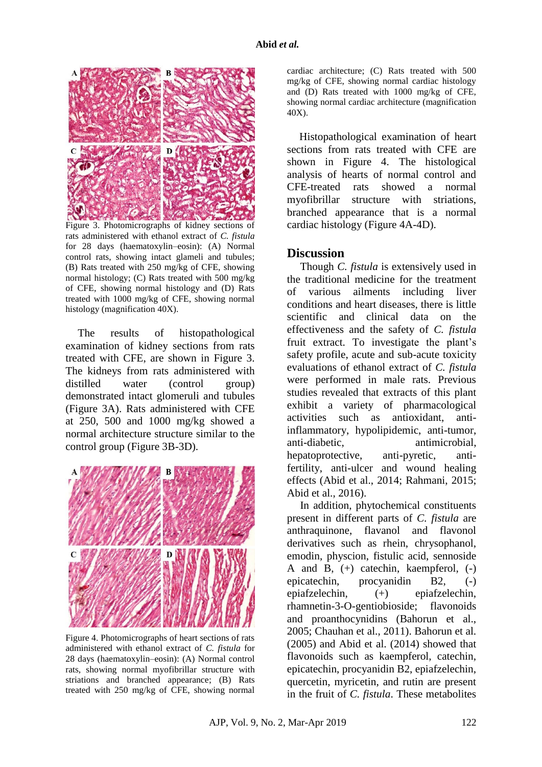

Figure 3. Photomicrographs of kidney sections of rats administered with ethanol extract of *C. fistula* for 28 days (haematoxylin–eosin): (A) Normal control rats, showing intact glameli and tubules; (B) Rats treated with 250 mg/kg of CFE, showing normal histology; (C) Rats treated with 500 mg/kg of CFE, showing normal histology and (D) Rats treated with 1000 mg/kg of CFE, showing normal histology (magnification 40X).

The results of histopathological examination of kidney sections from rats treated with CFE, are shown in Figure 3. The kidneys from rats administered with distilled water (control group) demonstrated intact glomeruli and tubules (Figure 3A). Rats administered with CFE at 250, 500 and 1000 mg/kg showed a normal architecture structure similar to the control group (Figure 3B-3D).



Figure 4. Photomicrographs of heart sections of rats administered with ethanol extract of *C. fistula* for 28 days (haematoxylin–eosin): (A) Normal control rats, showing normal myofibrillar structure with striations and branched appearance; (B) Rats treated with 250 mg/kg of CFE, showing normal

cardiac architecture; (C) Rats treated with 500 mg/kg of CFE, showing normal cardiac histology and (D) Rats treated with 1000 mg/kg of CFE, showing normal cardiac architecture (magnification 40X).

Histopathological examination of heart sections from rats treated with CFE are shown in Figure 4. The histological analysis of hearts of normal control and CFE-treated rats showed a normal myofibrillar structure with striations, branched appearance that is a normal cardiac histology (Figure 4A-4D).

### **Discussion**

Though *C. fistula* is extensively used in the traditional medicine for the treatment of various ailments including liver conditions and heart diseases, there is little scientific and clinical data on the effectiveness and the safety of *C. fistula* fruit extract. To investigate the plant's safety profile, acute and sub-acute toxicity evaluations of ethanol extract of *C. fistula*  were performed in male rats. Previous studies revealed that extracts of this plant exhibit a variety of pharmacological activities such as antioxidant, antiinflammatory, hypolipidemic, anti-tumor, anti-diabetic, antimicrobial, hepatoprotective, anti-pyretic, antifertility, anti-ulcer and wound healing effects (Abid et al., 2014; Rahmani, 2015; Abid et al., 2016).

In addition, phytochemical constituents present in different parts of *C. fistula* are anthraquinone, flavanol and flavonol derivatives such as rhein, chrysophanol, emodin, physcion, fistulic acid, sennoside A and B, (+) catechin, kaempferol, (-) epicatechin, procyanidin B2, (-) epiafzelechin, (+) epiafzelechin, rhamnetin-3-O-gentiobioside; flavonoids and proanthocynidins (Bahorun et al., 2005; Chauhan et al., 2011). Bahorun et al. (2005) and Abid et al. (2014) showed that flavonoids such as kaempferol, catechin, epicatechin, procyanidin B2, epiafzelechin, quercetin, myricetin, and rutin are present in the fruit of *C. fistula*. These metabolites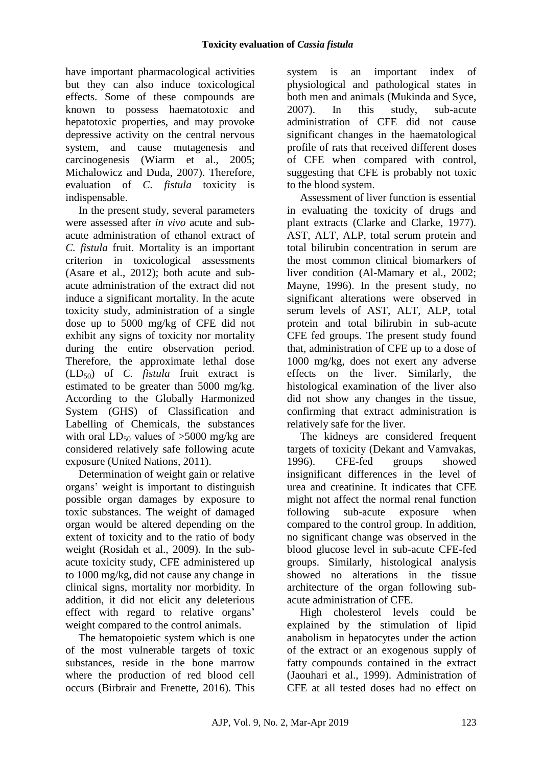have important pharmacological activities but they can also induce toxicological effects. Some of these compounds are known to possess haematotoxic and hepatotoxic properties, and may provoke depressive activity on the central nervous system, and cause mutagenesis and carcinogenesis (Wiarm et al., 2005; Michalowicz and Duda, 2007). Therefore, evaluation of *C. fistula* toxicity is indispensable.

In the present study, several parameters were assessed after *in vivo* acute and subacute administration of ethanol extract of *C. fistula* fruit. Mortality is an important criterion in toxicological assessments (Asare et al., 2012); both acute and subacute administration of the extract did not induce a significant mortality. In the acute toxicity study, administration of a single dose up to 5000 mg/kg of CFE did not exhibit any signs of toxicity nor mortality during the entire observation period. Therefore, the approximate lethal dose (LD50) of *C. fistula* fruit extract is estimated to be greater than 5000 mg/kg. According to the Globally Harmonized System (GHS) of Classification and Labelling of Chemicals, the substances with oral  $LD_{50}$  values of  $>5000$  mg/kg are considered relatively safe following acute exposure (United Nations, 2011).

Determination of weight gain or relative organs' weight is important to distinguish possible organ damages by exposure to toxic substances. The weight of damaged organ would be altered depending on the extent of toxicity and to the ratio of body weight (Rosidah et al., 2009). In the subacute toxicity study, CFE administered up to 1000 mg/kg, did not cause any change in clinical signs, mortality nor morbidity. In addition, it did not elicit any deleterious effect with regard to relative organs' weight compared to the control animals.

The hematopoietic system which is one of the most vulnerable targets of toxic substances, reside in the bone marrow where the production of red blood cell occurs (Birbrair and Frenette, 2016). This system is an important index of physiological and pathological states in both men and animals (Mukinda and Syce, 2007). In this study, sub-acute administration of CFE did not cause significant changes in the haematological profile of rats that received different doses of CFE when compared with control, suggesting that CFE is probably not toxic to the blood system.

Assessment of liver function is essential in evaluating the toxicity of drugs and plant extracts (Clarke and Clarke, 1977). AST, ALT, ALP, total serum protein and total bilirubin concentration in serum are the most common clinical biomarkers of liver condition (Al-Mamary et al., 2002; Mayne, 1996). In the present study, no significant alterations were observed in serum levels of AST, ALT, ALP, total protein and total bilirubin in sub-acute CFE fed groups. The present study found that, administration of CFE up to a dose of 1000 mg/kg, does not exert any adverse effects on the liver. Similarly, the histological examination of the liver also did not show any changes in the tissue, confirming that extract administration is relatively safe for the liver.

The kidneys are considered frequent targets of toxicity (Dekant and Vamvakas, 1996). CFE-fed groups showed insignificant differences in the level of urea and creatinine. It indicates that CFE might not affect the normal renal function following sub-acute exposure when compared to the control group. In addition, no significant change was observed in the blood glucose level in sub-acute CFE-fed groups. Similarly, histological analysis showed no alterations in the tissue architecture of the organ following subacute administration of CFE.

High cholesterol levels could be explained by the stimulation of lipid anabolism in hepatocytes under the action of the extract or an exogenous supply of fatty compounds contained in the extract (Jaouhari et al., 1999). Administration of CFE at all tested doses had no effect on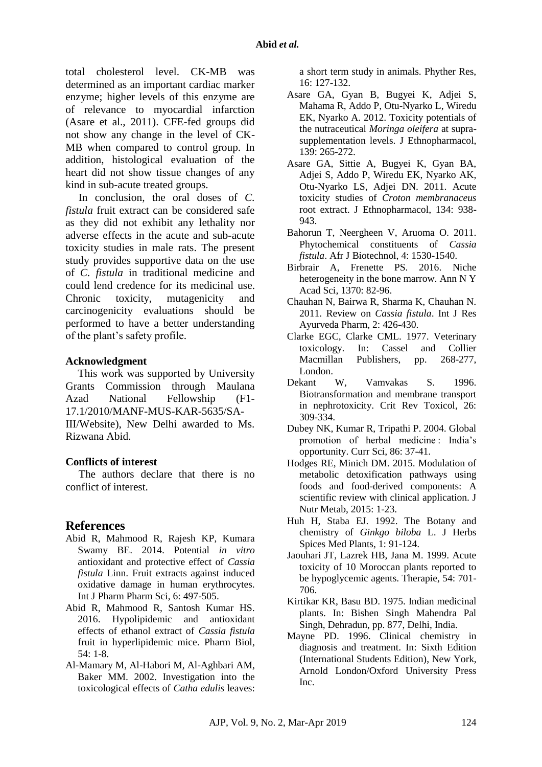total cholesterol level. CK-MB was determined as an important cardiac marker enzyme; higher levels of this enzyme are of relevance to myocardial infarction (Asare et al., 2011). CFE-fed groups did not show any change in the level of CK-MB when compared to control group. In addition, histological evaluation of the heart did not show tissue changes of any kind in sub-acute treated groups.

In conclusion, the oral doses of *C. fistula* fruit extract can be considered safe as they did not exhibit any lethality nor adverse effects in the acute and sub-acute toxicity studies in male rats. The present study provides supportive data on the use of *C. fistula* in traditional medicine and could lend credence for its medicinal use. Chronic toxicity, mutagenicity and carcinogenicity evaluations should be performed to have a better understanding of the plant's safety profile.

### **Acknowledgment**

This work was supported by University Grants Commission through Maulana Azad National Fellowship (F1- 17.1/2010/MANF-MUS-KAR-5635/SA-III/Website), New Delhi awarded to Ms. Rizwana Abid.

## **Conflicts of interest**

The authors declare that there is no conflict of interest.

## **References**

- Abid R, Mahmood R, Rajesh KP, Kumara Swamy BE. 2014. Potential *in vitro* antioxidant and protective effect of *Cassia fistula* Linn. Fruit extracts against induced oxidative damage in human erythrocytes. Int J Pharm Pharm Sci, 6: 497-505.
- Abid R, Mahmood R, Santosh Kumar HS. 2016. Hypolipidemic and antioxidant effects of ethanol extract of *Cassia fistula* fruit in hyperlipidemic mice. Pharm Biol, 54: 1-8.
- Al-Mamary M, Al-Habori M, Al-Aghbari AM, Baker MM. 2002. Investigation into the toxicological effects of *Catha edulis* leaves:

a short term study in animals. Phyther Res, 16: 127-132.

- Asare GA, Gyan B, Bugyei K, Adjei S, Mahama R, Addo P, Otu-Nyarko L, Wiredu EK, Nyarko A. 2012. Toxicity potentials of the nutraceutical *Moringa oleifera* at suprasupplementation levels. J Ethnopharmacol, 139: 265-272.
- Asare GA, Sittie A, Bugyei K, Gyan BA, Adjei S, Addo P, Wiredu EK, Nyarko AK, Otu-Nyarko LS, Adjei DN. 2011. Acute toxicity studies of *Croton membranaceus* root extract. J Ethnopharmacol, 134: 938- 943.
- Bahorun T, Neergheen V, Aruoma O. 2011. Phytochemical constituents of *Cassia fistula*. Afr J Biotechnol, 4: 1530-1540.
- Birbrair A, Frenette PS. 2016. Niche heterogeneity in the bone marrow. Ann N Y Acad Sci, 1370: 82-96.
- Chauhan N, Bairwa R, Sharma K, Chauhan N. 2011. Review on *Cassia fistula*. Int J Res Ayurveda Pharm, 2: 426-430.
- Clarke EGC, Clarke CML. 1977. Veterinary toxicology. In: Cassel and Collier Macmillan Publishers, pp. 268-277, London.
- Dekant W, Vamvakas S. 1996. Biotransformation and membrane transport in nephrotoxicity. Crit Rev Toxicol, 26: 309-334.
- Dubey NK, Kumar R, Tripathi P. 2004. Global promotion of herbal medicine∶ India's opportunity. Curr Sci, 86: 37-41.
- Hodges RE, Minich DM. 2015. Modulation of metabolic detoxification pathways using foods and food-derived components: A scientific review with clinical application. J Nutr Metab, 2015: 1-23.
- Huh H, Staba EJ. 1992. The Botany and chemistry of *Ginkgo biloba* L. J Herbs Spices Med Plants, 1: 91-124.
- Jaouhari JT, Lazrek HB, Jana M. 1999. Acute toxicity of 10 Moroccan plants reported to be hypoglycemic agents. Therapie, 54: 701- 706.
- Kirtikar KR, Basu BD. 1975. Indian medicinal plants. In: Bishen Singh Mahendra Pal Singh, Dehradun, pp. 877, Delhi, India.
- Mayne PD. 1996. Clinical chemistry in diagnosis and treatment. In: Sixth Edition (International Students Edition), New York, Arnold London/Oxford University Press Inc.